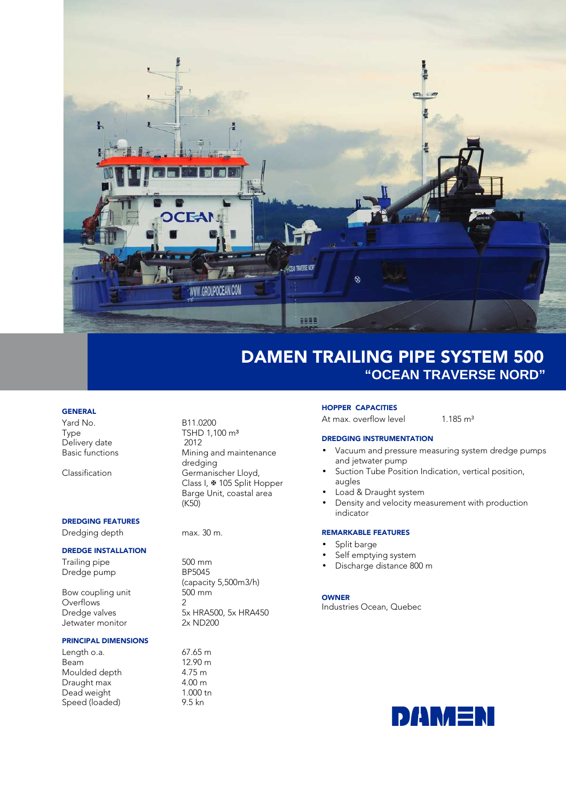

# DAMEN TRAILING PIPE SYSTEM 500 **"OCEAN TRAVERSE NORD"**

### **GENERAL**

Yard No. B11.0200 Delivery date<br>Basic functions

## DREDGING FEATURES

Dredging depth max. 30 m.

#### DREDGE INSTALLATION

Trailing pipe 500 mm<br>Dredae pump 500 mm Dredge pump

Bow coupling unit Overflows 2<br>Dredae valves 3: Jetwater monitor

#### PRINCIPAL DIMENSIONS

Length o.a. 67.65 m<br>Beam 12.90 m Moulded depth  $4.75 \text{ m}$ <br>Draught max  $4.00 \text{ m}$ Draught max  $\begin{array}{ccc} 4.00 \text{ m} \\ \text{Dead weight} \end{array}$  1.000 tn Dead weight 1.000 to 1.000 to 1.000 to 1.000 to 1.000 to 1.000 to 1.000 to 1.000 to 1.000 to 1.000 to 1.000 to 1.000 to 1.000 to 1.000 to 1.000 to 1.000 to 1.000 to 1.000 to 1.000 to 1.000 to 1.000 to 1.000 to 1.000 to 1.0 Speed (loaded)

TSHD 1,100 m<sup>3</sup><br>2012 Mining and maintenance dredging Classification Germanischer Lloyd, Class I, ₩ 105 Split Hopper Barge Unit, coastal area (K50)

 $12.90 m$ <br> $4.75 m$ 

 (capacity 5,500m3/h) 5x HRA500, 5x HRA450<br>2x ND200

#### HOPPER CAPACITIES

At max. overflow level 1.185 m<sup>3</sup>

## DREDGING INSTRUMENTATION

- Vacuum and pressure measuring system dredge pumps and jetwater pump
- Suction Tube Position Indication, vertical position, augles
- Load & Draught system
- Density and velocity measurement with production indicator

## REMARKABLE FEATURES

- Split barge
- Self emptying system
- Discharge distance 800 m

#### OWNER

Industries Ocean, Quebec